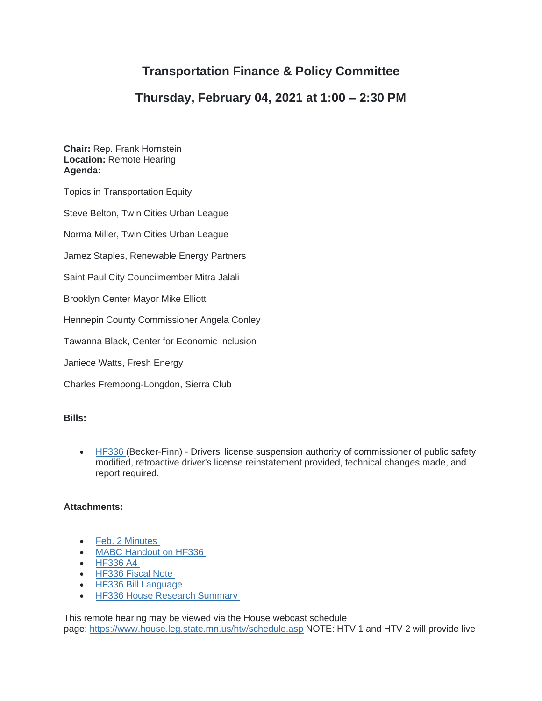## **Transportation Finance & Policy Committee**

## **Thursday, February 04, 2021 at 1:00 – 2:30 PM**

**Chair:** Rep. Frank Hornstein **Location:** Remote Hearing **Agenda:**

Topics in Transportation Equity

Steve Belton, Twin Cities Urban League

Norma Miller, Twin Cities Urban League

Jamez Staples, Renewable Energy Partners

Saint Paul City Councilmember Mitra Jalali

Brooklyn Center Mayor Mike Elliott

Hennepin County Commissioner Angela Conley

Tawanna Black, Center for Economic Inclusion

Janiece Watts, Fresh Energy

Charles Frempong-Longdon, Sierra Club

## **Bills:**

• [HF336](https://www.house.leg.state.mn.us/bills/billnum.asp?Billnumber=HF336&ls_year=92&session_year=2021&session_number=0) (Becker-Finn) - Drivers' license suspension authority of commissioner of public safety modified, retroactive driver's license reinstatement provided, technical changes made, and report required.

## **Attachments:**

- [Feb. 2 Minutes](https://www.house.leg.state.mn.us/comm/docs/9cHU6PzcHE2Hm5JBoXOWSw.pdf)
- [MABC Handout on HF336](https://www.house.leg.state.mn.us/comm/docs/DwXjXDBggUeZKycYUg0rSQ.pdf)
- [HF336](https://www.house.leg.state.mn.us/comm/docs/i32kSE_Hq0CNv6l87rHPKw.pdf) A4
- [HF336 Fiscal Note](https://www.house.leg.state.mn.us/comm/docs/4X3K7a-CBUqTB-hQQ-rX2g.pdf)
- [HF336 Bill Language](https://www.house.leg.state.mn.us/comm/docs/jEWvLc2CgkaVEQunHkyHcg.pdf)
- [HF336 House Research Summary](https://www.house.leg.state.mn.us/comm/docs/ZHz04ocMLU_jN2SbxghHCA.pdf)

This remote hearing may be viewed via the House webcast schedule page: <https://www.house.leg.state.mn.us/htv/schedule.asp> NOTE: HTV 1 and HTV 2 will provide live